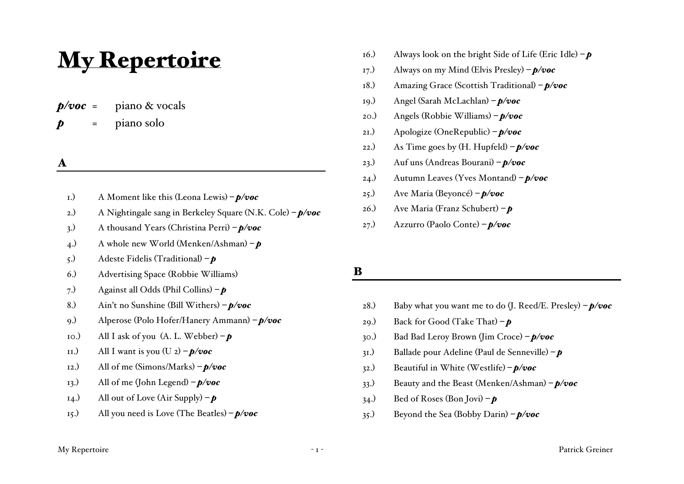# My Repertoire

 $p/voc$  = piano & vocals *p* = piano solo

## A

- 1.) A Moment like this (Leona Lewis) *– p/voc*
- 2.) A Nightingale sang in Berkeley Square (N.K. Cole) *– p/voc*
- 3.) A thousand Years (Christina Perri) *– p/voc*
- 4.) A whole new World (Menken/Ashman) *– p*
- 5.) Adeste Fidelis (Traditional) *– p*
- 6.) Advertising Space (Robbie Williams)
- 7.) Against all Odds (Phil Collins) *– p*
- 8.) Ain't no Sunshine (Bill Withers) *– p/voc*
- 9.) Alperose (Polo Hofer/Hanery Ammann) *– p/voc*
- 10.) All I ask of you  $(A, L, Webber) p$
- 11.) All I want is you  $(U_2) p/voc$
- 12.) All of me (Simons/Marks) *– p/voc*
- 13.) All of me (John Legend) *– p/voc*
- 14.) All out of Love (Air Supply)  $-\boldsymbol{p}$
- 15.) All you need is Love (The Beatles) *– p/voc*
- 16.) Always look on the bright Side of Life (Eric Idle) *– p*
- 17.) Always on my Mind (Elvis Presley) *– p/voc*
- 18.) Amazing Grace (Scottish Traditional) *– p/voc*
- 19.) Angel (Sarah McLachlan) *– p/voc*
- 20.) Angels (Robbie Williams) *– p/voc*
- 21.) Apologize (OneRepublic) *– p/voc*
- 22.) As Time goes by (H. Hupfeld) *– p/voc*
- 23.) Auf uns (Andreas Bourani) *– p/voc*
- 24.) Autumn Leaves (Yves Montand) *– p/voc*
- 25.) Ave Maria (Beyoncé) *– p/voc*
- 26.) Ave Maria (Franz Schubert) *– p*
- 27.) Azzurro (Paolo Conte) *– p/voc*

#### B

- 28.) Baby what you want me to do (J. Reed/E. Presley) *– p/voc*
- 29.) Back for Good (Take That) *– p*
- 30.) Bad Bad Leroy Brown (Jim Croce) *– p/voc*
- 31.) Ballade pour Adeline (Paul de Senneville) *– p*
- 32.) Beautiful in White (Westlife)  $p/voc$
- 33.) Beauty and the Beast (Menken/Ashman) *– p/voc*
- 34.) Bed of Roses (Bon Jovi)  $\boldsymbol{p}$
- 35.) Beyond the Sea (Bobby Darin) *– p/voc*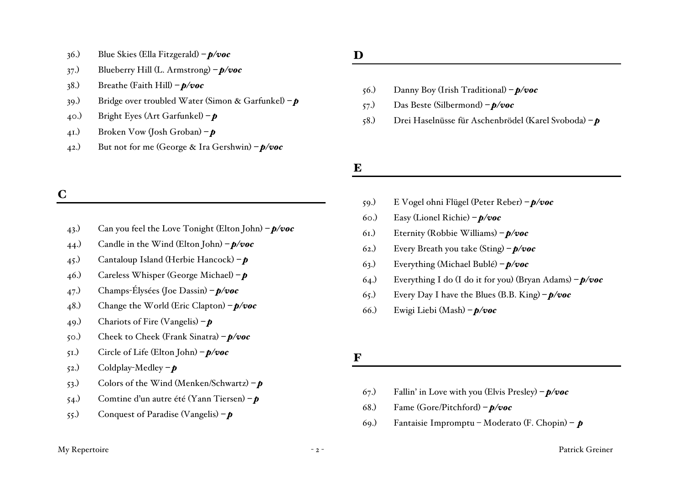- 36.) Blue Skies (Ella Fitzgerald) *– p/voc*
- 37.) Blueberry Hill (L. Armstrong) *– p/voc*
- 38.) Breathe (Faith Hill) *– p/voc*
- 39.) Bridge over troubled Water (Simon & Garfunkel) *– p*
- 40.) Bright Eyes (Art Garfunkel) *– p*
- 41.) Broken Vow (Josh Groban) *– p*
- 42.) But not for me (George & Ira Gershwin) *– p/voc*

# C

- 43.) Can you feel the Love Tonight (Elton John) *– p/voc*
- 44.) Candle in the Wind (Elton John) *– p/voc*
- 45.) Cantaloup Island (Herbie Hancock) *– p*
- 46.) Careless Whisper (George Michael) *– p*
- 47.) Champs-Élysées (Joe Dassin) *– p/voc*
- 48.) Change the World (Eric Clapton) *– p/voc*
- 49.) Chariots of Fire (Vangelis) *– p*
- 50.) Cheek to Cheek (Frank Sinatra) *– p/voc*
- 51.) Circle of Life (Elton John) *– p/voc*
- 52.) Coldplay-Medley *– p*
- 53.) Colors of the Wind (Menken/Schwartz) *– p*
- 54.) Comtine d'un autre été (Yann Tiersen) *– p*
- 55.) Conquest of Paradise (Vangelis) *– p*

# D

- 56.) Danny Boy (Irish Traditional) *– p/voc*
- 57.) Das Beste (Silbermond) *– p/voc*
- 58.) Drei Haselnüsse für Aschenbrödel (Karel Svoboda) *– p*

# E

- 59.) E Vogel ohni Flügel (Peter Reber) *– p/voc*
- 60.) Easy (Lionel Richie) *– p/voc*
- 61.) Eternity (Robbie Williams) *– p/voc*
- 62.) Every Breath you take (Sting) *– p/voc*
- 63.) Everything (Michael Bublé) *– p/voc*
- 64.) Everything I do (I do it for you) (Bryan Adams) *– p/voc*
- 65.) Every Day I have the Blues (B.B. King) *– p/voc*
- 66.) Ewigi Liebi (Mash) *– p/voc*

#### F

- 67.) Fallin' in Love with you (Elvis Presley) *– p/voc*
- 68.) Fame (Gore/Pitchford) *– p/voc*
- 69.) Fantaisie Impromptu Moderato (F. Chopin) *– p*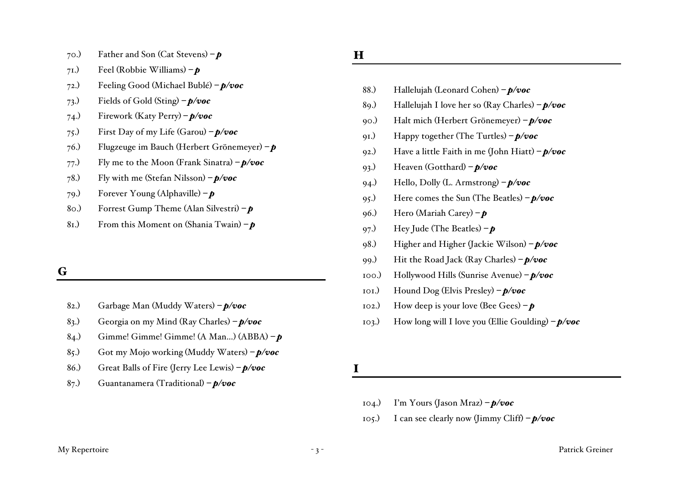- 70.) Father and Son (Cat Stevens) *– p*
- 71.) Feel (Robbie Williams) *– p*
- 72.) Feeling Good (Michael Bublé) *– p/voc*
- 73.) Fields of Gold (Sting) *– p/voc*
- 74.) Firework (Katy Perry) *– p/voc*
- 75.) First Day of my Life (Garou) *– p/voc*
- 76.) Flugzeuge im Bauch (Herbert Grönemeyer) *– p*
- 77.) Fly me to the Moon (Frank Sinatra) *– p/voc*
- 78.) Fly with me (Stefan Nilsson) *– p/voc*
- 79.) Forever Young (Alphaville) *– p*
- 80.) Forrest Gump Theme (Alan Silvestri) *– p*
- 81.) From this Moment on (Shania Twain) *– p*

#### G

- 82.) Garbage Man (Muddy Waters) *– p/voc*
- 83.) Georgia on my Mind (Ray Charles) *– p/voc*
- 84.) Gimme! Gimme! Gimme! (A Man…) (ABBA) *– p*
- 85.) Got my Mojo working (Muddy Waters) *– p/voc*
- 86.) Great Balls of Fire (Jerry Lee Lewis) *– p/voc*
- 87.) Guantanamera (Traditional) *– p/voc*

## H

- 88.) Hallelujah (Leonard Cohen) *– p/voc*
- 89.) Hallelujah I love her so (Ray Charles) *– p/voc*
- 90.) Halt mich (Herbert Grönemeyer) *– p/voc*
- 91.) Happy together (The Turtles) *– p/voc*
- 92.) Have a little Faith in me (John Hiatt) *– p/voc*
- 93.) Heaven (Gotthard) *– p/voc*
- 94.) Hello, Dolly (L. Armstrong) *– p/voc*
- 95.) Here comes the Sun (The Beatles) *– p/voc*
- 96.) Hero (Mariah Carey) *– p*
- 97.) Hey Jude (The Beatles) *– p*
- 98.) Higher and Higher (Jackie Wilson) *– p/voc*
- 99.) Hit the Road Jack (Ray Charles) *– p/voc*
- 100.) Hollywood Hills (Sunrise Avenue) *– p/voc*
- 101.) Hound Dog (Elvis Presley) *– p/voc*
- 102.) How deep is your love (Bee Gees) *– p*
- 103.) How long will I love you (Ellie Goulding) *– p/voc*

I

- 104.) I'm Yours (Jason Mraz) *– p/voc*
- 105.) I can see clearly now (Jimmy Cliff) *– p/voc*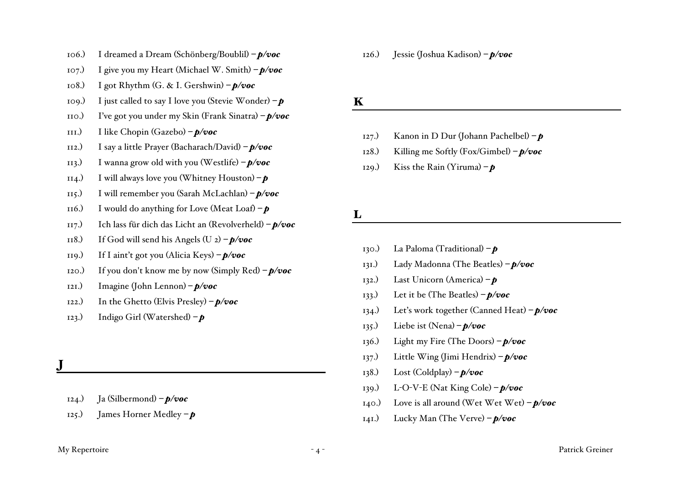- 106.) I dreamed a Dream (Schönberg/Boublil) *– p/voc*
- 107.) I give you my Heart (Michael W. Smith) *– p/voc*
- 108.) I got Rhythm (G. & I. Gershwin) *– p/voc*
- 109.) I just called to say I love you (Stevie Wonder) *– p*
- 110.) I've got you under my Skin (Frank Sinatra) *– p/voc*
- 111.) I like Chopin (Gazebo) *– p/voc*
- 112.) I say a little Prayer (Bacharach/David) *– p/voc*
- 113.) I wanna grow old with you (Westlife) *– p/voc*
- 114.) I will always love you (Whitney Houston) *– p*
- 115.) I will remember you (Sarah McLachlan) *– p/voc*
- 116.) I would do anything for Love (Meat Loaf)  $-\boldsymbol{p}$
- 117.) Ich lass für dich das Licht an (Revolverheld) *– p/voc*
- 118.) If God will send his Angels  $(U_2) p/voc$
- 119.) If I aint't got you (Alicia Keys) *– p/voc*
- 120.) If you don't know me by now (Simply Red) *– p/voc*
- 121.) Imagine (John Lennon) *– p/voc*
- 122.) In the Ghetto (Elvis Presley) *– p/voc*
- 123.) Indigo Girl (Watershed) *– p*

J

- 124.) Ja (Silbermond) *– p/voc*
- 125.) James Horner Medley *– p*

126.) Jessie (Joshua Kadison) *– p/voc*

### K

- 127.) Kanon in D Dur (Johann Pachelbel) *– p*
- 128.) Killing me Softly (Fox/Gimbel) *– p/voc*
- 129.) Kiss the Rain (Yiruma)  $-\boldsymbol{p}$

L

- 130.) La Paloma (Traditional) *– p*
- 131.) Lady Madonna (The Beatles) *– p/voc*
- 132.) Last Unicorn (America) *– p*
- 133.) Let it be (The Beatles) *– p/voc*
- 134.) Let's work together (Canned Heat) *– p/voc*
- 135.) Liebe ist (Nena) *– p/voc*
- 136.) Light my Fire (The Doors) *– p/voc*
- 137.) Little Wing (Jimi Hendrix) *– p/voc*
- 138.) Lost (Coldplay) *– p/voc*
- 139.) L-O-V-E (Nat King Cole) *– p/voc*
- 140.) Love is all around (Wet Wet Wet) *– p/voc*
- 141.) Lucky Man (The Verve) *– p/voc*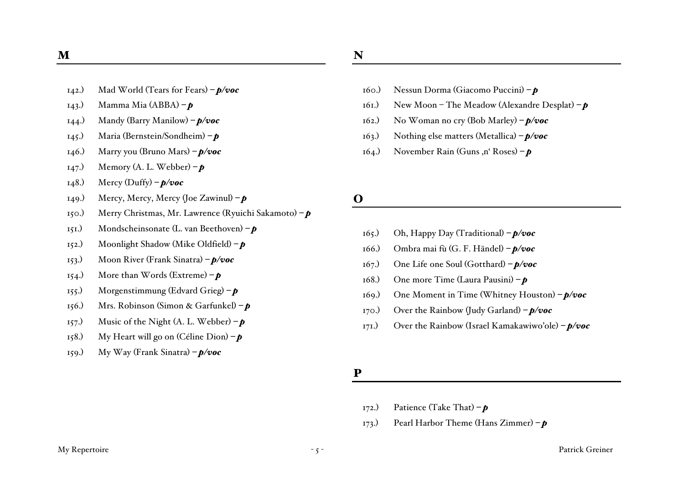- 142.) Mad World (Tears for Fears) *– p/voc*
- 143.) Mamma Mia (ABBA) *– p*
- 144.) Mandy (Barry Manilow) *– p/voc*
- 145.) Maria (Bernstein/Sondheim) *– p*
- 146.) Marry you (Bruno Mars) *– p/voc*
- 147.) Memory (A. L. Webber) *– p*
- 148.) Mercy (Duffy) *– p/voc*
- 149.) Mercy, Mercy, Mercy (Joe Zawinul) *– p*
- 150.) Merry Christmas, Mr. Lawrence (Ryuichi Sakamoto) *– p*
- 151.) Mondscheinsonate (L. van Beethoven) *– p*
- 152.) Moonlight Shadow (Mike Oldfield) *– p*
- 153.) Moon River (Frank Sinatra) *– p/voc*
- 154.) More than Words (Extreme) *– p*
- 155.) Morgenstimmung (Edvard Grieg) *– p*
- 156.) Mrs. Robinson (Simon & Garfunkel) *– p*
- 157.) Music of the Night (A. L. Webber)  $\mathbf{p}$
- 158.) My Heart will go on (Céline Dion) *– p*
- 159.) My Way (Frank Sinatra) *– p/voc*
- 160.) Nessun Dorma (Giacomo Puccini) *– p*
- 161.) New Moon The Meadow (Alexandre Desplat) *– p*
- 162.) No Woman no cry (Bob Marley) *– p/voc*
- 163.) Nothing else matters (Metallica) *– p/voc*
- 164.) November Rain (Guns ,n' Roses) **p**

#### O

- 165.) Oh, Happy Day (Traditional) *– p/voc*
- 166.) Ombra mai fù (G. F. Händel) *– p/voc*
- 167.) One Life one Soul (Gotthard) *– p/voc*
- 168.) One more Time (Laura Pausini) *– p*
- 169.) One Moment in Time (Whitney Houston) *– p/voc*
- 170.) Over the Rainbow (Judy Garland) *– p/voc*
- 171.) Over the Rainbow (Israel Kamakawiwo'ole) *– p/voc*

#### P

- 172.) Patience (Take That) *– p*
- 173.) Pearl Harbor Theme (Hans Zimmer) *– p*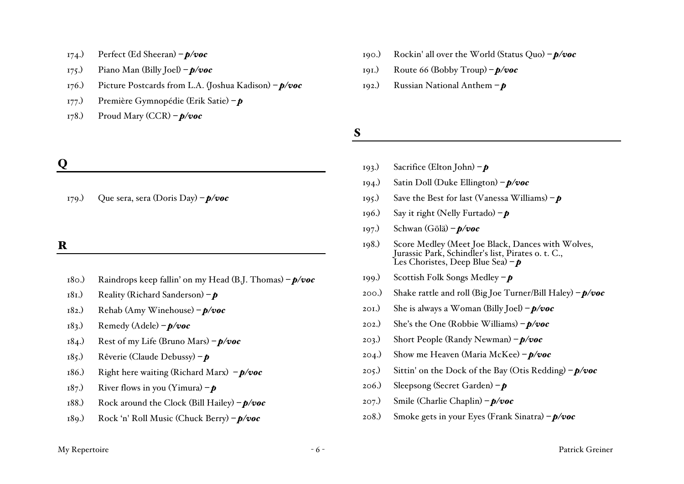- 174.) Perfect (Ed Sheeran) *– p/voc*
- 175.) Piano Man (Billy Joel) *– p/voc*
- 176.) Picture Postcards from L.A. (Joshua Kadison) *– p/voc*
- 177.) Première Gymnopédie (Erik Satie) *– p*
- 178.) Proud Mary (CCR) *– p/voc*

# Q

179.) Que sera, sera (Doris Day) *– p/voc*

## R

- 180.) Raindrops keep fallin' on my Head (B.J. Thomas) *– p/voc*
- 181.) Reality (Richard Sanderson) *– p*
- 182.) Rehab (Amy Winehouse) *– p/voc*
- 183.) Remedy (Adele) *– p/voc*
- 184.) Rest of my Life (Bruno Mars) *– p/voc*
- 185.) Rêverie (Claude Debussy) *– p*
- 186.) Right here waiting (Richard Marx) *– p/voc*
- 187.) River flows in you (Yimura)  $-\boldsymbol{p}$
- 188.) Rock around the Clock (Bill Hailey) *– p/voc*
- 189.) Rock 'n' Roll Music (Chuck Berry) *– p/voc*
- 190.) Rockin' all over the World (Status Quo) *– p/voc*
- 191.) Route 66 (Bobby Troup) *– p/voc*
- 192.) Russian National Anthem *– p*

S

- 193.) Sacrifice (Elton John) *– p*
- 194.) Satin Doll (Duke Ellington) *– p/voc*
- 195.) Save the Best for last (Vanessa Williams) *– p*
- 196.) Say it right (Nelly Furtado) *– p*
- 197.) Schwan (Gölä) *– p/voc*
- 198.) Score Medley (Meet Joe Black, Dances with Wolves, Jurassic Park, Schindler's list, Pirates o. t. C., Les Choristes, Deep Blue Sea) *– p*
- 199.) Scottish Folk Songs Medley *– p*
- 200.) Shake rattle and roll (Big Joe Turner/Bill Haley) *– p/voc*
- 201.) She is always a Woman (Billy Joel) *– p/voc*
- 202.) She's the One (Robbie Williams) *– p/voc*
- 203.) Short People (Randy Newman) *– p/voc*
- 204.) Show me Heaven (Maria McKee) *– p/voc*
- 205.) Sittin' on the Dock of the Bay (Otis Redding) *– p/voc*
- 206.) Sleepsong (Secret Garden) *– p*
- 207.) Smile (Charlie Chaplin) *– p/voc*
- 208.) Smoke gets in your Eyes (Frank Sinatra) *– p/voc*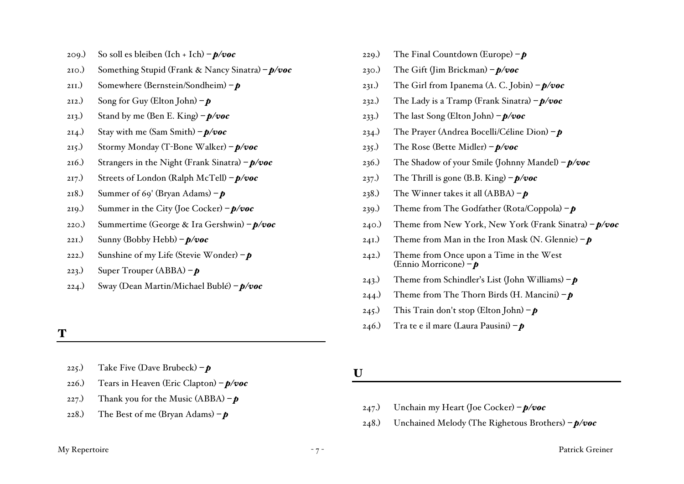- 209.) So soll es bleiben (Ich + Ich) *– p/voc*
- 210.) Something Stupid (Frank & Nancy Sinatra) *– p/voc*
- 211.) Somewhere (Bernstein/Sondheim) *– p*
- 212.) Song for Guy (Elton John) *– p*
- 213.) Stand by me (Ben E. King) *– p/voc*
- 214.) Stay with me (Sam Smith) *– p/voc*
- 215.) Stormy Monday (T-Bone Walker) *– p/voc*
- 216.) Strangers in the Night (Frank Sinatra) *– p/voc*
- 217.) Streets of London (Ralph McTell) *– p/voc*
- 218.) Summer of 69' (Bryan Adams) *– p*
- 219.) Summer in the City (Joe Cocker) *– p/voc*
- 220.) Summertime (George & Ira Gershwin) *– p/voc*
- 221.) Sunny (Bobby Hebb) *– p/voc*
- 222.) Sunshine of my Life (Stevie Wonder) *– p*
- 223.) Super Trouper (ABBA) *– p*
- 224.) Sway (Dean Martin/Michael Bublé) *– p/voc*

## T

- 225.) Take Five (Dave Brubeck) *– p*
- 226.) Tears in Heaven (Eric Clapton) *– p/voc*
- 227.) Thank you for the Music  $(ABBA) p$
- 228.) The Best of me (Bryan Adams) *– p*
- 229.) The Final Countdown (Europe) *– p*
- 230.) The Gift (Jim Brickman) *– p/voc*
- 231.) The Girl from Ipanema (A. C. Jobin) *– p/voc*
- 232.) The Lady is a Tramp (Frank Sinatra) *– p/voc*
- 233.) The last Song (Elton John) *– p/voc*
- 234.) The Prayer (Andrea Bocelli/Céline Dion) *– p*
- 235.) The Rose (Bette Midler) *– p/voc*
- 236.) The Shadow of your Smile (Johnny Mandel) *– p/voc*
- 237.) The Thrill is gone (B.B. King) *– p/voc*
- 238.) The Winner takes it all (ABBA) *– p*
- 239.) Theme from The Godfather (Rota/Coppola) *– p*
- 240.) Theme from New York, New York (Frank Sinatra) *– p/voc*
- 241.) Theme from Man in the Iron Mask (N. Glennie) *– p*
- 242.) Theme from Once upon a Time in the West (Ennio Morricone) *– p*
- 243.) Theme from Schindler's List (John Williams) *– p*
- 244.) Theme from The Thorn Birds (H. Mancini)  $-\boldsymbol{p}$
- 245.) This Train don't stop (Elton John) *– p*
- 246.) Tra te e il mare (Laura Pausini) *– p*
- U
	- 247.) Unchain my Heart (Joe Cocker) *– p/voc*
	- 248.) Unchained Melody (The Righetous Brothers) *– p/voc*